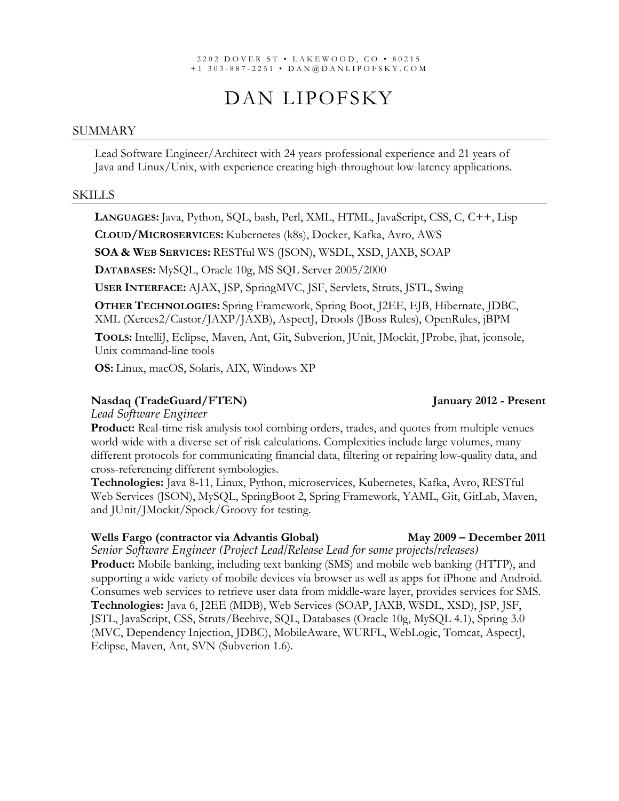#### 2202 DOVER ST • LAKEWOOD , CO • 8021 5 +1 303 - 887 - 2251 • DAN @DANLIPOFSKY.COM

# DAN LIPOFSKY

#### SUMMARY

Lead Software Engineer/Architect with 24 years professional experience and 21 years of Java and Linux/Unix, with experience creating high-throughout low-latency applications.

#### SKILLS

**LANGUAGES:** Java, Python, SQL, bash, Perl, XML, HTML, JavaScript, CSS, C, C++, Lisp

**CLOUD/MICROSERVICES:** Kubernetes (k8s), Docker, Kafka, Avro, AWS

**SOA & WEB SERVICES:** RESTful WS (JSON), WSDL, XSD, JAXB, SOAP

**DATABASES:** MySQL, Oracle 10g, MS SQL Server 2005/2000

**USER INTERFACE:** AJAX, JSP, SpringMVC, JSF, Servlets, Struts, JSTL, Swing

**OTHER TECHNOLOGIES:** Spring Framework, Spring Boot, J2EE, EJB, Hibernate, JDBC, XML (Xerces2/Castor/JAXP/JAXB), AspectJ, Drools (JBoss Rules), OpenRules, jBPM

**TOOLS:** IntelliJ, Eclipse, Maven, Ant, Git, Subverion, JUnit, JMockit, JProbe, jhat, jconsole, Unix command-line tools

**OS:** Linux, macOS, Solaris, AIX, Windows XP

### **Nasdaq (TradeGuard/FTEN) January 2012 - Present**

*Lead Software Engineer*

**Product:** Real-time risk analysis tool combing orders, trades, and quotes from multiple venues world-wide with a diverse set of risk calculations. Complexities include large volumes, many different protocols for communicating financial data, filtering or repairing low-quality data, and cross-referencing different symbologies.

**Technologies:** Java 8-11, Linux, Python, microservices, Kubernetes, Kafka, Avro, RESTful Web Services (JSON), MySQL, SpringBoot 2, Spring Framework, YAML, Git, GitLab, Maven, and JUnit/JMockit/Spock/Groovy for testing.

#### **Wells Fargo (contractor via Advantis Global) May 2009 – December 2011**

*Senior Software Engineer (Project Lead/Release Lead for some projects/releases)* **Product:** Mobile banking, including text banking (SMS) and mobile web banking (HTTP), and supporting a wide variety of mobile devices via browser as well as apps for iPhone and Android. Consumes web services to retrieve user data from middle-ware layer, provides services for SMS. **Technologies:** Java 6, J2EE (MDB), Web Services (SOAP, JAXB, WSDL, XSD), JSP, JSF, JSTL, JavaScript, CSS, Struts/Beehive, SQL, Databases (Oracle 10g, MySQL 4.1), Spring 3.0 (MVC, Dependency Injection, JDBC), MobileAware, WURFL, WebLogic, Tomcat, AspectJ, Eclipse, Maven, Ant, SVN (Subverion 1.6).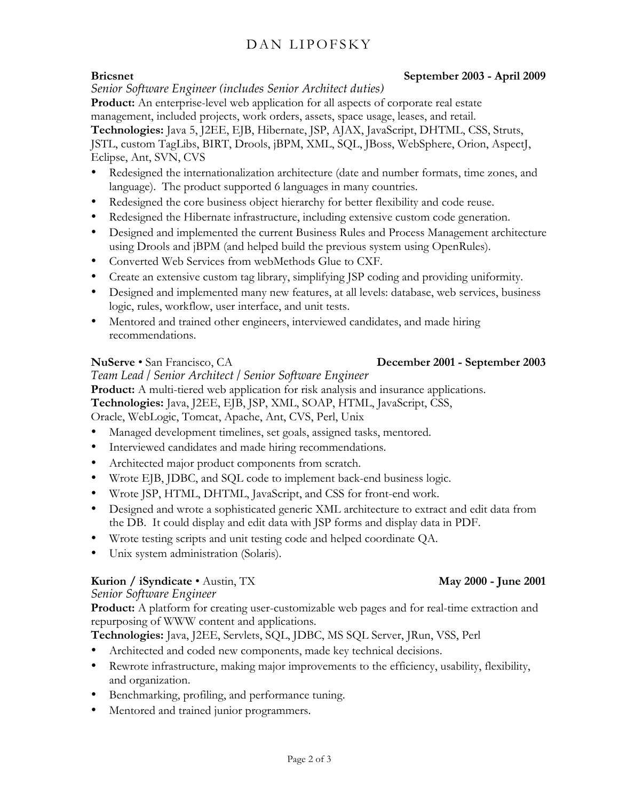# DAN LIPOFSKY

### **Bricsnet September 2003 - April 2009**

*Senior Software Engineer (includes Senior Architect duties)*

**Product:** An enterprise-level web application for all aspects of corporate real estate management, included projects, work orders, assets, space usage, leases, and retail.

**Technologies:** Java 5, J2EE, EJB, Hibernate, JSP, AJAX, JavaScript, DHTML, CSS, Struts,

JSTL, custom TagLibs, BIRT, Drools, jBPM, XML, SQL, JBoss, WebSphere, Orion, AspectJ, Eclipse, Ant, SVN, CVS

- Redesigned the internationalization architecture (date and number formats, time zones, and language). The product supported 6 languages in many countries.
- Redesigned the core business object hierarchy for better flexibility and code reuse.
- Redesigned the Hibernate infrastructure, including extensive custom code generation.
- Designed and implemented the current Business Rules and Process Management architecture using Drools and jBPM (and helped build the previous system using OpenRules).
- Converted Web Services from webMethods Glue to CXF.
- Create an extensive custom tag library, simplifying JSP coding and providing uniformity.
- Designed and implemented many new features, at all levels: database, web services, business logic, rules, workflow, user interface, and unit tests.
- Mentored and trained other engineers, interviewed candidates, and made hiring recommendations.

### **NuServe** • San Francisco, CA **December 2001 - September 2003**

*Team Lead / Senior Architect / Senior Software Engineer* **Product:** A multi-tiered web application for risk analysis and insurance applications. **Technologies:** Java, J2EE, EJB, JSP, XML, SOAP, HTML, JavaScript, CSS,

Oracle, WebLogic, Tomcat, Apache, Ant, CVS, Perl, Unix

- Managed development timelines, set goals, assigned tasks, mentored.
- Interviewed candidates and made hiring recommendations.
- Architected major product components from scratch.
- Wrote EJB, JDBC, and SQL code to implement back-end business logic.
- Wrote JSP, HTML, DHTML, JavaScript, and CSS for front-end work.
- Designed and wrote a sophisticated generic XML architecture to extract and edit data from the DB. It could display and edit data with JSP forms and display data in PDF.
- Wrote testing scripts and unit testing code and helped coordinate QA.
- Unix system administration (Solaris).

# **Kurion / iSyndicate** • Austin, TX **May 2000 - June 2001 May 2000 - June 2001**

## *Senior Software Engineer*

**Product:** A platform for creating user-customizable web pages and for real-time extraction and repurposing of WWW content and applications.

**Technologies:** Java, J2EE, Servlets, SQL, JDBC, MS SQL Server, JRun, VSS, Perl

- Architected and coded new components, made key technical decisions.
- Rewrote infrastructure, making major improvements to the efficiency, usability, flexibility, and organization.
- Benchmarking, profiling, and performance tuning.
- Mentored and trained junior programmers.